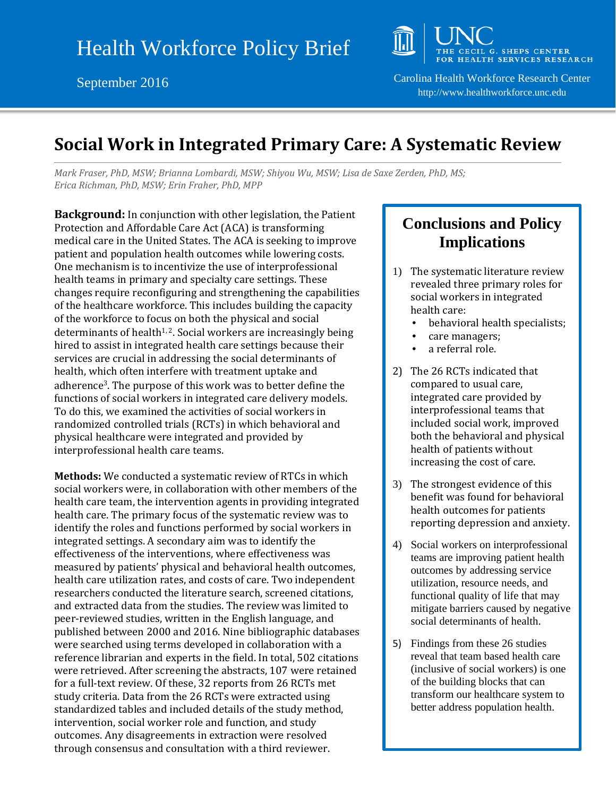

September 2016 Carolina Health Workforce Research Center http://www.healthworkforce.unc.edu

## **Social Work in Integrated Primary Care: A Systematic Review**

*Mark Fraser, PhD, MSW; Brianna Lombardi, MSW; Shiyou Wu, MSW; Lisa de Saxe Zerden, PhD, MS; Erica Richman, PhD, MSW; Erin Fraher, PhD, MPP*

**Background:** In conjunction with other legislation, the Patient Protection and Affordable Care Act (ACA) is transforming medical care in the United States. The ACA is seeking to improve patient and population health outcomes while lowering costs. One mechanism is to incentivize the use of interprofessional health teams in primary and specialty care settings. These changes require reconfiguring and strengthening the capabilities of the healthcare workforce. This includes building the capacity of the workforce to focus on both the physical and social determinants of health<sup>1, 2</sup>. Social workers are increasingly being hired to assist in integrated health care settings because their services are crucial in addressing the social determinants of health, which often interfere with treatment uptake and adherence3. The purpose of this work was to better define the functions of social workers in integrated care delivery models. To do this, we examined the activities of social workers in randomized controlled trials (RCTs) in which behavioral and physical healthcare were integrated and provided by interprofessional health care teams.

**Methods:** We conducted a systematic review of RTCs in which social workers were, in collaboration with other members of the health care team, the intervention agents in providing integrated health care. The primary focus of the systematic review was to identify the roles and functions performed by social workers in integrated settings. A secondary aim was to identify the effectiveness of the interventions, where effectiveness was measured by patients' physical and behavioral health outcomes, health care utilization rates, and costs of care. Two independent researchers conducted the literature search, screened citations, and extracted data from the studies. The review was limited to peer-reviewed studies, written in the English language, and published between 2000 and 2016. Nine bibliographic databases were searched using terms developed in collaboration with a reference librarian and experts in the field. In total, 502 citations were retrieved. After screening the abstracts, 107 were retained for a full-text review. Of these, 32 reports from 26 RCTs met study criteria. Data from the 26 RCTs were extracted using standardized tables and included details of the study method, intervention, social worker role and function, and study outcomes. Any disagreements in extraction were resolved through consensus and consultation with a third reviewer.

## **Conclusions and Policy Implications**

- 1) The systematic literature review revealed three primary roles for social workers in integrated health care:
	- behavioral health specialists;
	- care managers;
	- a referral role.
- 2) The 26 RCTs indicated that compared to usual care, integrated care provided by interprofessional teams that included social work, improved both the behavioral and physical health of patients without increasing the cost of care.
- 3) The strongest evidence of this benefit was found for behavioral health outcomes for patients reporting depression and anxiety.
- 4) Social workers on interprofessional teams are improving patient health outcomes by addressing service utilization, resource needs, and functional quality of life that may mitigate barriers caused by negative social determinants of health.
- 5) Findings from these 26 studies reveal that team based health care (inclusive of social workers) is one of the building blocks that can transform our healthcare system to better address population health.